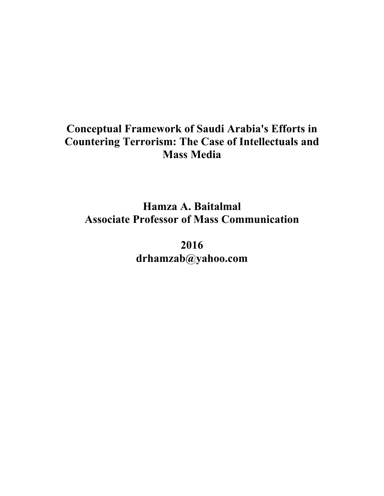## **Conceptual Framework of Saudi Arabia's Efforts in Countering Terrorism: The Case of Intellectuals and Mass Media**

**Hamza A. Baitalmal Associate Professor of Mass Communication**

> **2016 drhamzab@yahoo.com**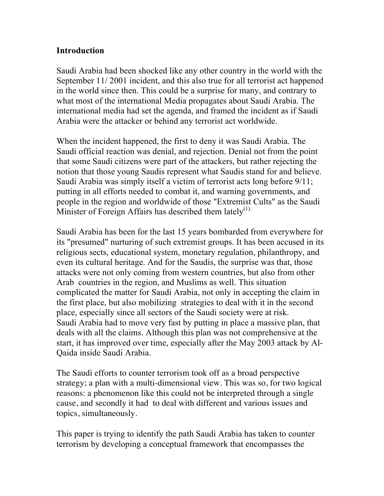#### **Introduction**

Saudi Arabia had been shocked like any other country in the world with the September 11/ 2001 incident, and this also true for all terrorist act happened in the world since then. This could be a surprise for many, and contrary to what most of the international Media propagates about Saudi Arabia. The international media had set the agenda, and framed the incident as if Saudi Arabia were the attacker or behind any terrorist act worldwide.

When the incident happened, the first to deny it was Saudi Arabia. The Saudi official reaction was denial, and rejection. Denial not from the point that some Saudi citizens were part of the attackers, but rather rejecting the notion that those young Saudis represent what Saudis stand for and believe. Saudi Arabia was simply itself a victim of terrorist acts long before 9/11; putting in all efforts needed to combat it, and warning governments, and people in the region and worldwide of those "Extremist Cults" as the Saudi Minister of Foreign Affairs has described them lately<sup>(1).</sup>

Saudi Arabia has been for the last 15 years bombarded from everywhere for its "presumed" nurturing of such extremist groups. It has been accused in its religious sects, educational system, monetary regulation, philanthropy, and even its cultural heritage. And for the Saudis, the surprise was that, those attacks were not only coming from western countries, but also from other Arab countries in the region, and Muslims as well. This situation complicated the matter for Saudi Arabia, not only in accepting the claim in the first place, but also mobilizing strategies to deal with it in the second place, especially since all sectors of the Saudi society were at risk. Saudi Arabia had to move very fast by putting in place a massive plan, that deals with all the claims. Although this plan was not comprehensive at the start, it has improved over time, especially after the May 2003 attack by Al-Qaida inside Saudi Arabia.

The Saudi efforts to counter terrorism took off as a broad perspective strategy; a plan with a multi-dimensional view. This was so, for two logical reasons: a phenomenon like this could not be interpreted through a single cause, and secondly it had to deal with different and various issues and topics, simultaneously.

This paper is trying to identify the path Saudi Arabia has taken to counter terrorism by developing a conceptual framework that encompasses the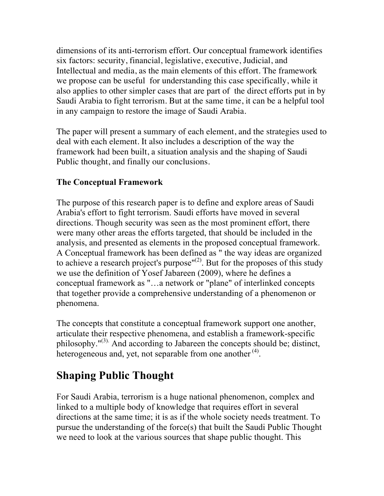dimensions of its anti-terrorism effort. Our conceptual framework identifies six factors: security, financial, legislative, executive, Judicial, and Intellectual and media, as the main elements of this effort. The framework we propose can be useful for understanding this case specifically, while it also applies to other simpler cases that are part of the direct efforts put in by Saudi Arabia to fight terrorism. But at the same time, it can be a helpful tool in any campaign to restore the image of Saudi Arabia.

The paper will present a summary of each element, and the strategies used to deal with each element. It also includes a description of the way the framework had been built, a situation analysis and the shaping of Saudi Public thought, and finally our conclusions.

## **The Conceptual Framework**

The purpose of this research paper is to define and explore areas of Saudi Arabia's effort to fight terrorism. Saudi efforts have moved in several directions. Though security was seen as the most prominent effort, there were many other areas the efforts targeted, that should be included in the analysis, and presented as elements in the proposed conceptual framework. A Conceptual framework has been defined as " the way ideas are organized to achieve a research project's purpose" $^{(2)}$ . But for the proposes of this study we use the definition of Yosef Jabareen (2009), where he defines a conceptual framework as "…a network or "plane" of interlinked concepts that together provide a comprehensive understanding of a phenomenon or phenomena.

The concepts that constitute a conceptual framework support one another, articulate their respective phenomena, and establish a framework-specific philosophy." $^{(3)}$ . And according to Jabareen the concepts should be; distinct, heterogeneous and, yet, not separable from one another  $(4)$ .

# **Shaping Public Thought**

For Saudi Arabia, terrorism is a huge national phenomenon, complex and linked to a multiple body of knowledge that requires effort in several directions at the same time; it is as if the whole society needs treatment. To pursue the understanding of the force(s) that built the Saudi Public Thought we need to look at the various sources that shape public thought. This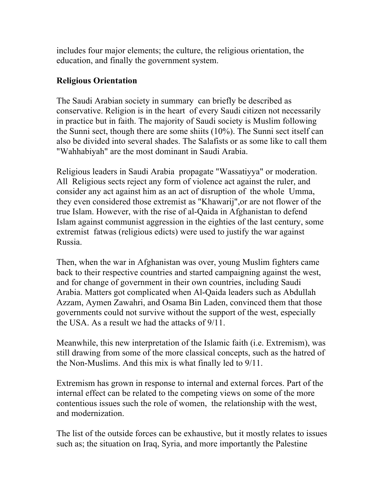includes four major elements; the culture, the religious orientation, the education, and finally the government system.

#### **Religious Orientation**

The Saudi Arabian society in summary can briefly be described as conservative. Religion is in the heart of every Saudi citizen not necessarily in practice but in faith. The majority of Saudi society is Muslim following the Sunni sect, though there are some shiits (10%). The Sunni sect itself can also be divided into several shades. The Salafists or as some like to call them "Wahhabiyah" are the most dominant in Saudi Arabia.

Religious leaders in Saudi Arabia propagate "Wassatiyya" or moderation. All Religious sects reject any form of violence act against the ruler, and consider any act against him as an act of disruption of the whole Umma, they even considered those extremist as "Khawarij",or are not flower of the true Islam. However, with the rise of al-Qaida in Afghanistan to defend Islam against communist aggression in the eighties of the last century, some extremist fatwas (religious edicts) were used to justify the war against Russia.

Then, when the war in Afghanistan was over, young Muslim fighters came back to their respective countries and started campaigning against the west, and for change of government in their own countries, including Saudi Arabia. Matters got complicated when Al-Qaida leaders such as Abdullah Azzam, Aymen Zawahri, and Osama Bin Laden, convinced them that those governments could not survive without the support of the west, especially the USA. As a result we had the attacks of 9/11.

Meanwhile, this new interpretation of the Islamic faith (i.e. Extremism), was still drawing from some of the more classical concepts, such as the hatred of the Non-Muslims. And this mix is what finally led to 9/11.

Extremism has grown in response to internal and external forces. Part of the internal effect can be related to the competing views on some of the more contentious issues such the role of women, the relationship with the west, and modernization.

The list of the outside forces can be exhaustive, but it mostly relates to issues such as; the situation on Iraq, Syria, and more importantly the Palestine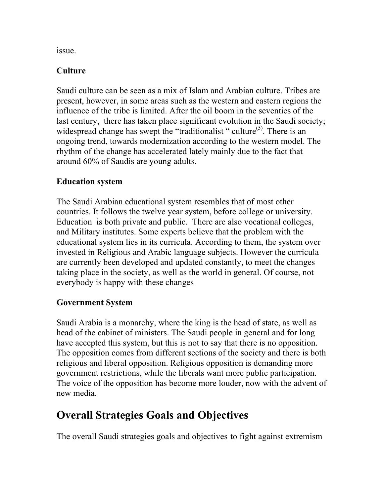issue.

## **Culture**

Saudi culture can be seen as a mix of Islam and Arabian culture. Tribes are present, however, in some areas such as the western and eastern regions the influence of the tribe is limited. After the oil boom in the seventies of the last century, there has taken place significant evolution in the Saudi society; widespread change has swept the "traditionalist" culture<sup>(5)</sup>. There is an ongoing trend, towards modernization according to the western model. The rhythm of the change has accelerated lately mainly due to the fact that around 60% of Saudis are young adults.

#### **Education system**

The Saudi Arabian educational system resembles that of most other countries. It follows the twelve year system, before college or university. Education is both private and public. There are also vocational colleges, and Military institutes. Some experts believe that the problem with the educational system lies in its curricula. According to them, the system over invested in Religious and Arabic language subjects. However the curricula are currently been developed and updated constantly, to meet the changes taking place in the society, as well as the world in general. Of course, not everybody is happy with these changes

#### **Government System**

Saudi Arabia is a monarchy, where the king is the head of state, as well as head of the cabinet of ministers. The Saudi people in general and for long have accepted this system, but this is not to say that there is no opposition. The opposition comes from different sections of the society and there is both religious and liberal opposition. Religious opposition is demanding more government restrictions, while the liberals want more public participation. The voice of the opposition has become more louder, now with the advent of new media.

## **Overall Strategies Goals and Objectives**

The overall Saudi strategies goals and objectives to fight against extremism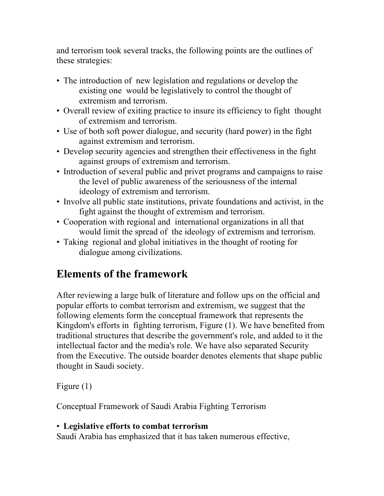and terrorism took several tracks, the following points are the outlines of these strategies:

- The introduction of new legislation and regulations or develop the existing one would be legislatively to control the thought of extremism and terrorism.
- Overall review of exiting practice to insure its efficiency to fight thought of extremism and terrorism.
- Use of both soft power dialogue, and security (hard power) in the fight against extremism and terrorism.
- Develop security agencies and strengthen their effectiveness in the fight against groups of extremism and terrorism.
- Introduction of several public and privet programs and campaigns to raise the level of public awareness of the seriousness of the internal ideology of extremism and terrorism.
- Involve all public state institutions, private foundations and activist, in the fight against the thought of extremism and terrorism.
- Cooperation with regional and international organizations in all that would limit the spread of the ideology of extremism and terrorism.
- Taking regional and global initiatives in the thought of rooting for dialogue among civilizations.

# **Elements of the framework**

After reviewing a large bulk of literature and follow ups on the official and popular efforts to combat terrorism and extremism, we suggest that the following elements form the conceptual framework that represents the Kingdom's efforts in fighting terrorism, Figure (1). We have benefited from traditional structures that describe the government's role, and added to it the intellectual factor and the media's role. We have also separated Security from the Executive. The outside boarder denotes elements that shape public thought in Saudi society.

Figure (1)

Conceptual Framework of Saudi Arabia Fighting Terrorism

## • **Legislative efforts to combat terrorism**

Saudi Arabia has emphasized that it has taken numerous effective,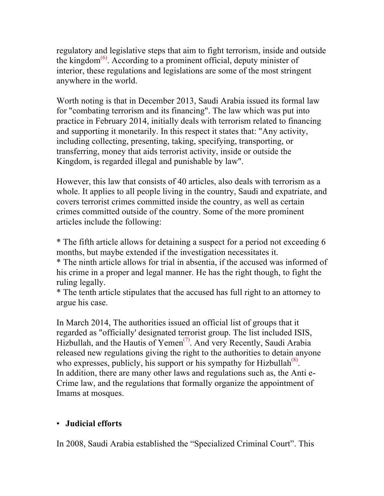regulatory and legislative steps that aim to fight terrorism, inside and outside the kingdom $^{(6)}$ . According to a prominent official, deputy minister of interior, these regulations and legislations are some of the most stringent anywhere in the world.

Worth noting is that in December 2013, Saudi Arabia issued its formal law for "combating terrorism and its financing". The law which was put into practice in February 2014, initially deals with terrorism related to financing and supporting it monetarily. In this respect it states that: "Any activity, including collecting, presenting, taking, specifying, transporting, or transferring, money that aids terrorist activity, inside or outside the Kingdom, is regarded illegal and punishable by law".

However, this law that consists of 40 articles, also deals with terrorism as a whole. It applies to all people living in the country, Saudi and expatriate, and covers terrorist crimes committed inside the country, as well as certain crimes committed outside of the country. Some of the more prominent articles include the following:

\* The fifth article allows for detaining a suspect for a period not exceeding 6 months, but maybe extended if the investigation necessitates it.

\* The ninth article allows for trial in absentia, if the accused was informed of his crime in a proper and legal manner. He has the right though, to fight the ruling legally.

\* The tenth article stipulates that the accused has full right to an attorney to argue his case.

In March 2014, The authorities issued an official list of groups that it regarded as "officially' designated terrorist group. The list included ISIS, Hizbullah, and the Hautis of Yemen<sup> $(7)$ </sup>. And very Recently, Saudi Arabia released new regulations giving the right to the authorities to detain anyone who expresses, publicly, his support or his sympathy for Hizbullah $<sup>(8)</sup>$ .</sup> In addition, there are many other laws and regulations such as, the Anti e-Crime law, and the regulations that formally organize the appointment of Imams at mosques.

#### • **Judicial efforts**

In 2008, Saudi Arabia established the "Specialized Criminal Court". This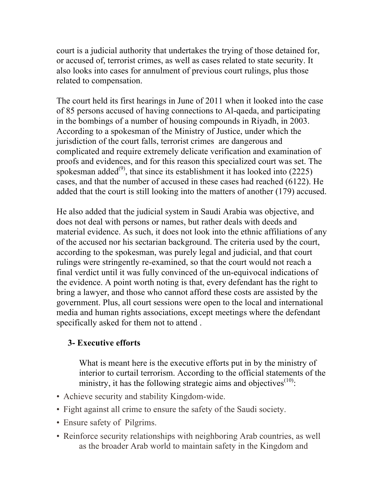court is a judicial authority that undertakes the trying of those detained for, or accused of, terrorist crimes, as well as cases related to state security. It also looks into cases for annulment of previous court rulings, plus those related to compensation.

The court held its first hearings in June of 2011 when it looked into the case of 85 persons accused of having connections to Al-qaeda, and participating in the bombings of a number of housing compounds in Riyadh, in 2003. According to a spokesman of the Ministry of Justice, under which the jurisdiction of the court falls, terrorist crimes are dangerous and complicated and require extremely delicate verification and examination of proofs and evidences, and for this reason this specialized court was set. The spokesman added<sup>(9)</sup>, that since its establishment it has looked into  $(2225)$ cases, and that the number of accused in these cases had reached (6122). He added that the court is still looking into the matters of another (179) accused.

He also added that the judicial system in Saudi Arabia was objective, and does not deal with persons or names, but rather deals with deeds and material evidence. As such, it does not look into the ethnic affiliations of any of the accused nor his sectarian background. The criteria used by the court, according to the spokesman, was purely legal and judicial, and that court rulings were stringently re-examined, so that the court would not reach a final verdict until it was fully convinced of the un-equivocal indications of the evidence. A point worth noting is that, every defendant has the right to bring a lawyer, and those who cannot afford these costs are assisted by the government. Plus, all court sessions were open to the local and international media and human rights associations, except meetings where the defendant specifically asked for them not to attend .

#### **3- Executive efforts**

What is meant here is the executive efforts put in by the ministry of interior to curtail terrorism. According to the official statements of the ministry, it has the following strategic aims and objectives $(10)$ :

- Achieve security and stability Kingdom-wide.
- Fight against all crime to ensure the safety of the Saudi society.
- Ensure safety of Pilgrims.
- Reinforce security relationships with neighboring Arab countries, as well as the broader Arab world to maintain safety in the Kingdom and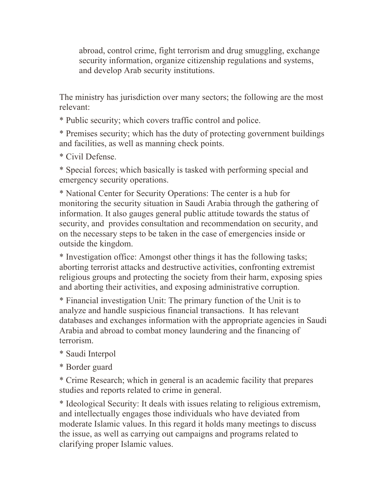abroad, control crime, fight terrorism and drug smuggling, exchange security information, organize citizenship regulations and systems, and develop Arab security institutions.

The ministry has jurisdiction over many sectors; the following are the most relevant:

\* Public security; which covers traffic control and police.

\* Premises security; which has the duty of protecting government buildings and facilities, as well as manning check points.

\* Civil Defense.

\* Special forces; which basically is tasked with performing special and emergency security operations.

\* National Center for Security Operations: The center is a hub for monitoring the security situation in Saudi Arabia through the gathering of information. It also gauges general public attitude towards the status of security, and provides consultation and recommendation on security, and on the necessary steps to be taken in the case of emergencies inside or outside the kingdom.

\* Investigation office: Amongst other things it has the following tasks; aborting terrorist attacks and destructive activities, confronting extremist religious groups and protecting the society from their harm, exposing spies and aborting their activities, and exposing administrative corruption.

\* Financial investigation Unit: The primary function of the Unit is to analyze and handle suspicious financial transactions. It has relevant databases and exchanges information with the appropriate agencies in Saudi Arabia and abroad to combat money laundering and the financing of terrorism.

\* Saudi Interpol

\* Border guard

\* Crime Research; which in general is an academic facility that prepares studies and reports related to crime in general.

\* Ideological Security: It deals with issues relating to religious extremism, and intellectually engages those individuals who have deviated from moderate Islamic values. In this regard it holds many meetings to discuss the issue, as well as carrying out campaigns and programs related to clarifying proper Islamic values.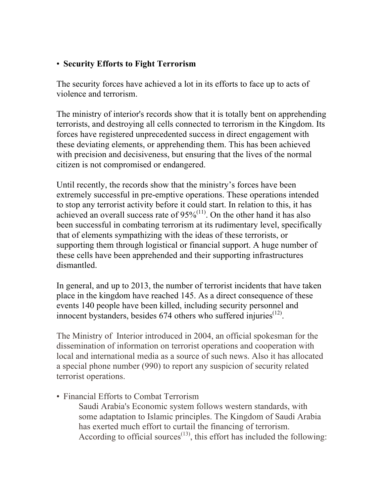#### • **Security Efforts to Fight Terrorism**

The security forces have achieved a lot in its efforts to face up to acts of violence and terrorism.

The ministry of interior's records show that it is totally bent on apprehending terrorists, and destroying all cells connected to terrorism in the Kingdom. Its forces have registered unprecedented success in direct engagement with these deviating elements, or apprehending them. This has been achieved with precision and decisiveness, but ensuring that the lives of the normal citizen is not compromised or endangered.

Until recently, the records show that the ministry's forces have been extremely successful in pre-emptive operations. These operations intended to stop any terrorist activity before it could start. In relation to this, it has achieved an overall success rate of  $95\%^{(11)}$ . On the other hand it has also been successful in combating terrorism at its rudimentary level, specifically that of elements sympathizing with the ideas of these terrorists, or supporting them through logistical or financial support. A huge number of these cells have been apprehended and their supporting infrastructures dismantled.

In general, and up to 2013, the number of terrorist incidents that have taken place in the kingdom have reached 145. As a direct consequence of these events 140 people have been killed, including security personnel and innocent bystanders, besides 674 others who suffered injuries<sup>(12)</sup>.

The Ministry of Interior introduced in 2004, an official spokesman for the dissemination of information on terrorist operations and cooperation with local and international media as a source of such news. Also it has allocated a special phone number (990) to report any suspicion of security related terrorist operations.

• Financial Efforts to Combat Terrorism

Saudi Arabia's Economic system follows western standards, with some adaptation to Islamic principles. The Kingdom of Saudi Arabia has exerted much effort to curtail the financing of terrorism. According to official sources $(13)$ , this effort has included the following: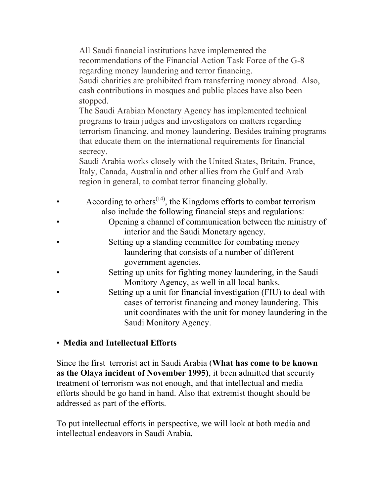All Saudi financial institutions have implemented the recommendations of the Financial Action Task Force of the G-8 regarding money laundering and terror financing.

Saudi charities are prohibited from transferring money abroad. Also, cash contributions in mosques and public places have also been stopped.

The Saudi Arabian Monetary Agency has implemented technical programs to train judges and investigators on matters regarding terrorism financing, and money laundering. Besides training programs that educate them on the international requirements for financial secrecy.

Saudi Arabia works closely with the United States, Britain, France, Italy, Canada, Australia and other allies from the Gulf and Arab region in general, to combat terror financing globally.

- According to others<sup> $(14)$ </sup>, the Kingdoms efforts to combat terrorism also include the following financial steps and regulations:
	- Opening a channel of communication between the ministry of interior and the Saudi Monetary agency.
	- Setting up a standing committee for combating money laundering that consists of a number of different government agencies.
- Setting up units for fighting money laundering, in the Saudi Monitory Agency, as well in all local banks.
- Setting up a unit for financial investigation (FIU) to deal with cases of terrorist financing and money laundering. This unit coordinates with the unit for money laundering in the Saudi Monitory Agency.

#### • **Media and Intellectual Efforts**

Since the first terrorist act in Saudi Arabia (**What has come to be known as the Olaya incident of November 1995)**, it been admitted that security treatment of terrorism was not enough, and that intellectual and media efforts should be go hand in hand. Also that extremist thought should be addressed as part of the efforts.

To put intellectual efforts in perspective, we will look at both media and intellectual endeavors in Saudi Arabia**.**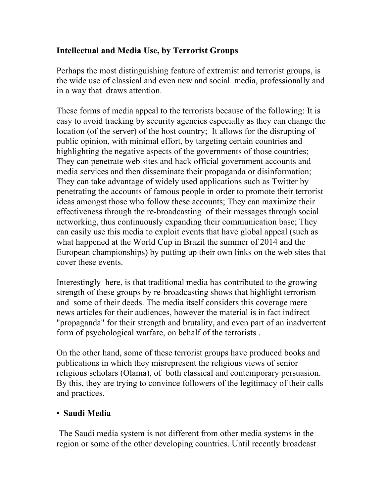## **Intellectual and Media Use, by Terrorist Groups**

Perhaps the most distinguishing feature of extremist and terrorist groups, is the wide use of classical and even new and social media, professionally and in a way that draws attention.

These forms of media appeal to the terrorists because of the following: It is easy to avoid tracking by security agencies especially as they can change the location (of the server) of the host country; It allows for the disrupting of public opinion, with minimal effort, by targeting certain countries and highlighting the negative aspects of the governments of those countries; They can penetrate web sites and hack official government accounts and media services and then disseminate their propaganda or disinformation; They can take advantage of widely used applications such as Twitter by penetrating the accounts of famous people in order to promote their terrorist ideas amongst those who follow these accounts; They can maximize their effectiveness through the re-broadcasting of their messages through social networking, thus continuously expanding their communication base; They can easily use this media to exploit events that have global appeal (such as what happened at the World Cup in Brazil the summer of 2014 and the European championships) by putting up their own links on the web sites that cover these events.

Interestingly here, is that traditional media has contributed to the growing strength of these groups by re-broadcasting shows that highlight terrorism and some of their deeds. The media itself considers this coverage mere news articles for their audiences, however the material is in fact indirect "propaganda" for their strength and brutality, and even part of an inadvertent form of psychological warfare, on behalf of the terrorists .

On the other hand, some of these terrorist groups have produced books and publications in which they misrepresent the religious views of senior religious scholars (Olama), of both classical and contemporary persuasion. By this, they are trying to convince followers of the legitimacy of their calls and practices.

#### • **Saudi Media**

 The Saudi media system is not different from other media systems in the region or some of the other developing countries. Until recently broadcast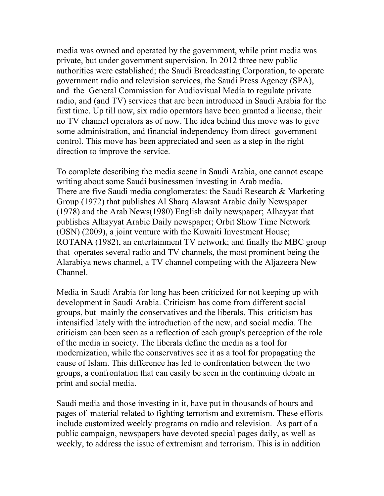media was owned and operated by the government, while print media was private, but under government supervision. In 2012 three new public authorities were established; the Saudi Broadcasting Corporation, to operate government radio and television services, the Saudi Press Agency (SPA), and the General Commission for Audiovisual Media to regulate private radio, and (and TV) services that are been introduced in Saudi Arabia for the first time. Up till now, six radio operators have been granted a license, their no TV channel operators as of now. The idea behind this move was to give some administration, and financial independency from direct government control. This move has been appreciated and seen as a step in the right direction to improve the service.

To complete describing the media scene in Saudi Arabia, one cannot escape writing about some Saudi businessmen investing in Arab media. There are five Saudi media conglomerates: the Saudi Research & Marketing Group (1972) that publishes Al Sharq Alawsat Arabic daily Newspaper (1978) and the Arab News(1980) English daily newspaper; Alhayyat that publishes Alhayyat Arabic Daily newspaper; Orbit Show Time Network (OSN) (2009), a joint venture with the Kuwaiti Investment House; ROTANA (1982), an entertainment TV network; and finally the MBC group that operates several radio and TV channels, the most prominent being the Alarabiya news channel, a TV channel competing with the Aljazeera New Channel.

Media in Saudi Arabia for long has been criticized for not keeping up with development in Saudi Arabia. Criticism has come from different social groups, but mainly the conservatives and the liberals. This criticism has intensified lately with the introduction of the new, and social media. The criticism can been seen as a reflection of each group's perception of the role of the media in society. The liberals define the media as a tool for modernization, while the conservatives see it as a tool for propagating the cause of Islam. This difference has led to confrontation between the two groups, a confrontation that can easily be seen in the continuing debate in print and social media.

Saudi media and those investing in it, have put in thousands of hours and pages of material related to fighting terrorism and extremism. These efforts include customized weekly programs on radio and television. As part of a public campaign, newspapers have devoted special pages daily, as well as weekly, to address the issue of extremism and terrorism. This is in addition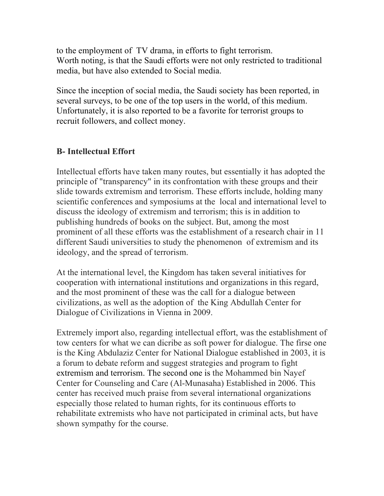to the employment of TV drama, in efforts to fight terrorism. Worth noting, is that the Saudi efforts were not only restricted to traditional media, but have also extended to Social media.

Since the inception of social media, the Saudi society has been reported, in several surveys, to be one of the top users in the world, of this medium. Unfortunately, it is also reported to be a favorite for terrorist groups to recruit followers, and collect money.

### **B- Intellectual Effort**

Intellectual efforts have taken many routes, but essentially it has adopted the principle of "transparency" in its confrontation with these groups and their slide towards extremism and terrorism. These efforts include, holding many scientific conferences and symposiums at the local and international level to discuss the ideology of extremism and terrorism; this is in addition to publishing hundreds of books on the subject. But, among the most prominent of all these efforts was the establishment of a research chair in 11 different Saudi universities to study the phenomenon of extremism and its ideology, and the spread of terrorism.

At the international level, the Kingdom has taken several initiatives for cooperation with international institutions and organizations in this regard, and the most prominent of these was the call for a dialogue between civilizations, as well as the adoption of the King Abdullah Center for Dialogue of Civilizations in Vienna in 2009.

Extremely import also, regarding intellectual effort, was the establishment of tow centers for what we can dicribe as soft power for dialogue. The firse one is the King Abdulaziz Center for National Dialogue established in 2003, it is a forum to debate reform and suggest strategies and program to fight extremism and terrorism. The second one is the Mohammed bin Nayef Center for Counseling and Care (Al-Munasaha) Established in 2006. This center has received much praise from several international organizations especially those related to human rights, for its continuous efforts to rehabilitate extremists who have not participated in criminal acts, but have shown sympathy for the course.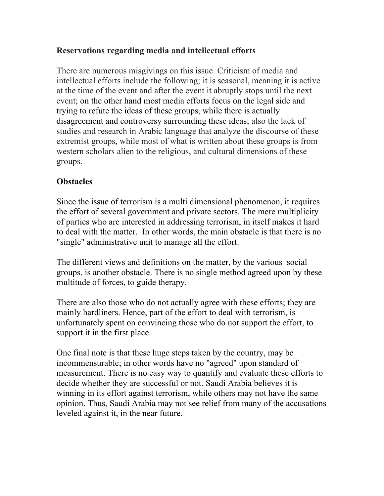### **Reservations regarding media and intellectual efforts**

There are numerous misgivings on this issue. Criticism of media and intellectual efforts include the following; it is seasonal, meaning it is active at the time of the event and after the event it abruptly stops until the next event; on the other hand most media efforts focus on the legal side and trying to refute the ideas of these groups, while there is actually disagreement and controversy surrounding these ideas; also the lack of studies and research in Arabic language that analyze the discourse of these extremist groups, while most of what is written about these groups is from western scholars alien to the religious, and cultural dimensions of these groups.

### **Obstacles**

Since the issue of terrorism is a multi dimensional phenomenon, it requires the effort of several government and private sectors. The mere multiplicity of parties who are interested in addressing terrorism, in itself makes it hard to deal with the matter. In other words, the main obstacle is that there is no "single" administrative unit to manage all the effort.

The different views and definitions on the matter, by the various social groups, is another obstacle. There is no single method agreed upon by these multitude of forces, to guide therapy.

There are also those who do not actually agree with these efforts; they are mainly hardliners. Hence, part of the effort to deal with terrorism, is unfortunately spent on convincing those who do not support the effort, to support it in the first place.

One final note is that these huge steps taken by the country, may be incommensurable; in other words have no "agreed" upon standard of measurement. There is no easy way to quantify and evaluate these efforts to decide whether they are successful or not. Saudi Arabia believes it is winning in its effort against terrorism, while others may not have the same opinion. Thus, Saudi Arabia may not see relief from many of the accusations leveled against it, in the near future.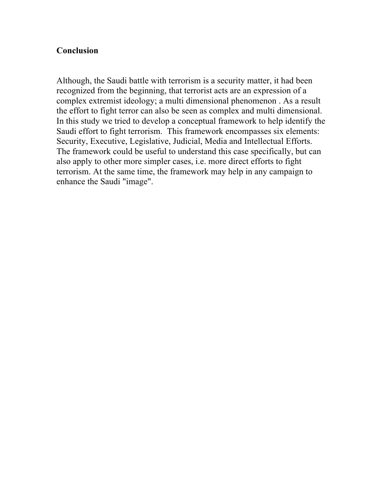#### **Conclusion**

Although, the Saudi battle with terrorism is a security matter, it had been recognized from the beginning, that terrorist acts are an expression of a complex extremist ideology; a multi dimensional phenomenon . As a result the effort to fight terror can also be seen as complex and multi dimensional. In this study we tried to develop a conceptual framework to help identify the Saudi effort to fight terrorism. This framework encompasses six elements: Security, Executive, Legislative, Judicial, Media and Intellectual Efforts. The framework could be useful to understand this case specifically, but can also apply to other more simpler cases, i.e. more direct efforts to fight terrorism. At the same time, the framework may help in any campaign to enhance the Saudi "image".